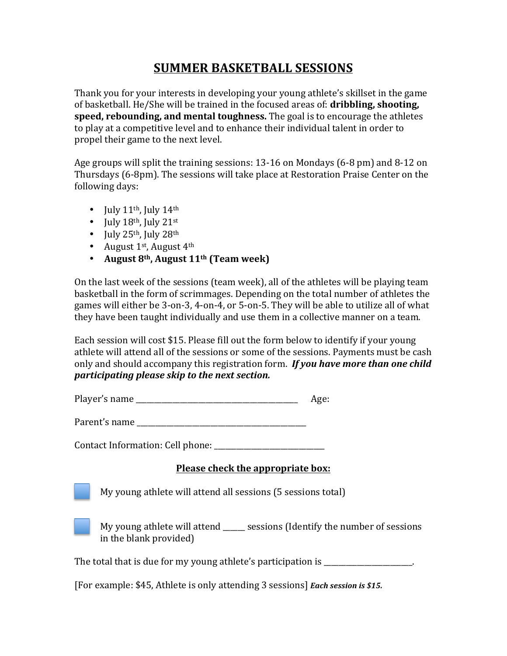## **SUMMER BASKETBALL SESSIONS**

Thank you for your interests in developing your young athlete's skillset in the game of basketball. He/She will be trained in the focused areas of: **dribbling, shooting, speed, rebounding, and mental toughness.** The goal is to encourage the athletes to play at a competitive level and to enhance their individual talent in order to propel their game to the next level.

Age groups will split the training sessions:  $13-16$  on Mondays  $(6-8 \text{ pm})$  and  $8-12$  on Thursdays (6-8pm). The sessions will take place at Restoration Praise Center on the following days:

- July  $11^{th}$ , July  $14^{th}$
- July  $18^{th}$ , July  $21^{st}$
- July  $25<sup>th</sup>$ , July  $28<sup>th</sup>$
- August  $1<sup>st</sup>$ , August  $4<sup>th</sup>$
- August 8<sup>th</sup>, August 11<sup>th</sup> (Team week)

On the last week of the sessions (team week), all of the athletes will be playing team basketball in the form of scrimmages. Depending on the total number of athletes the games will either be 3-on-3, 4-on-4, or 5-on-5. They will be able to utilize all of what they have been taught individually and use them in a collective manner on a team.

Each session will cost \$15. Please fill out the form below to identify if your young athlete will attend all of the sessions or some of the sessions. Payments must be cash only and should accompany this registration form. **If you have more than one child** *participating please skip to the next section.* 

| Player's name |  |
|---------------|--|
|---------------|--|

Contact Information: Cell phone: \_\_\_\_\_\_\_\_\_\_\_\_\_\_\_\_\_\_\_\_\_\_\_\_\_\_\_\_\_\_

## **Please check the appropriate box:**

My young athlete will attend all sessions (5 sessions total)



My young athlete will attend \_\_\_\_\_\_ sessions (Identify the number of sessions in the blank provided)

The total that is due for my young athlete's participation is  $\blacksquare$ 

[For example: \$45, Athlete is only attending 3 sessions] *Each session is* \$15.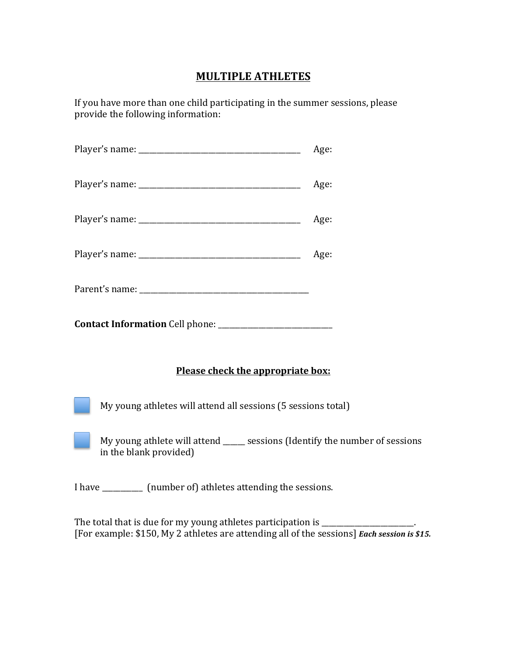## **MULTIPLE ATHLETES**

If you have more than one child participating in the summer sessions, please provide the following information:

|                                                                                                        | Age: |  |
|--------------------------------------------------------------------------------------------------------|------|--|
|                                                                                                        | Age: |  |
|                                                                                                        | Age: |  |
|                                                                                                        | Age: |  |
|                                                                                                        |      |  |
|                                                                                                        |      |  |
| Please check the appropriate box:                                                                      |      |  |
| My young athletes will attend all sessions (5 sessions total)                                          |      |  |
| My young athlete will attend _____ sessions (Identify the number of sessions<br>in the blank provided) |      |  |
| I have ___________ (number of) athletes attending the sessions.                                        |      |  |

The total that is due for my young athletes participation is \_\_\_\_\_\_\_\_\_\_\_\_\_\_\_\_\_\_\_ [For example: \$150, My 2 athletes are attending all of the sessions] *Each session is* \$15.